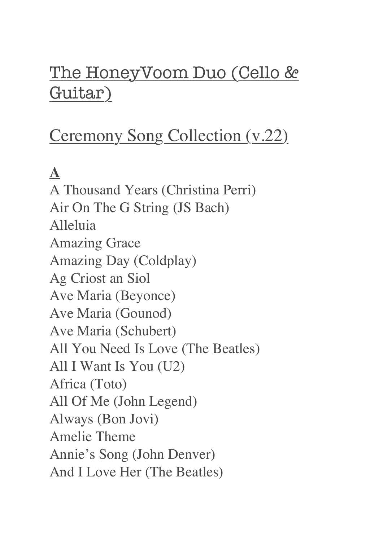## The HoneyVoom Duo (Cello & Guitar)

# Ceremony Song Collection (v.22)

# **A**

A Thousand Years (Christina Perri) Air On The G String (JS Bach) Alleluia Amazing Grace Amazing Day (Coldplay) Ag Criost an Siol Ave Maria (Beyonce) Ave Maria (Gounod) Ave Maria (Schubert) All You Need Is Love (The Beatles) All I Want Is You (U2) Africa (Toto) All Of Me (John Legend) Always (Bon Jovi) Amelie Theme Annie's Song (John Denver) And I Love Her (The Beatles)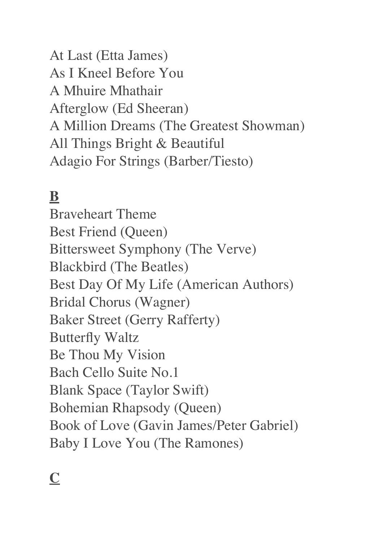At Last (Etta James) As I Kneel Before You A Mhuire Mhathair Afterglow (Ed Sheeran) A Million Dreams (The Greatest Showman) All Things Bright & Beautiful Adagio For Strings (Barber/Tiesto)

## **B**

Braveheart Theme Best Friend (Queen) Bittersweet Symphony (The Verve) Blackbird (The Beatles) Best Day Of My Life (American Authors) Bridal Chorus (Wagner) Baker Street (Gerry Rafferty) Butterfly Waltz Be Thou My Vision Bach Cello Suite No.1 Blank Space (Taylor Swift) Bohemian Rhapsody (Queen) Book of Love (Gavin James/Peter Gabriel) Baby I Love You (The Ramones)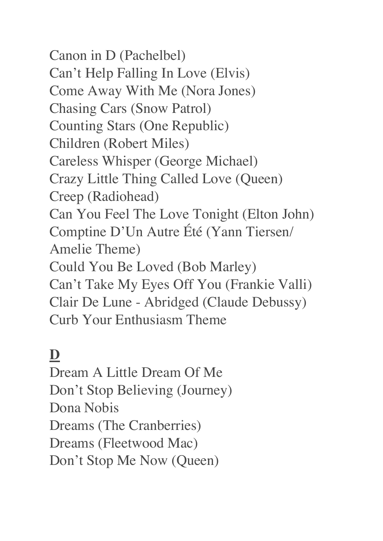Canon in D (Pachelbel) Can't Help Falling In Love (Elvis) Come Away With Me (Nora Jones) Chasing Cars (Snow Patrol) Counting Stars (One Republic) Children (Robert Miles) Careless Whisper (George Michael) Crazy Little Thing Called Love (Queen) Creep (Radiohead) Can You Feel The Love Tonight (Elton John) Comptine D'Un Autre Été (Yann Tiersen/ Amelie Theme) Could You Be Loved (Bob Marley) Can't Take My Eyes Off You (Frankie Valli) Clair De Lune - Abridged (Claude Debussy) Curb Your Enthusiasm Theme

## **D**

Dream A Little Dream Of Me Don't Stop Believing (Journey) Dona Nobis Dreams (The Cranberries) Dreams (Fleetwood Mac) Don't Stop Me Now (Queen)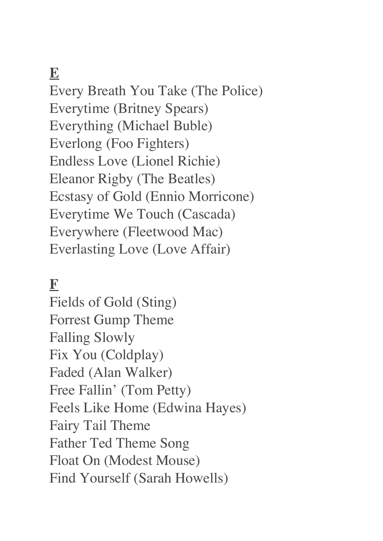#### **E**

Every Breath You Take (The Police) Everytime (Britney Spears) Everything (Michael Buble) Everlong (Foo Fighters) Endless Love (Lionel Richie) Eleanor Rigby (The Beatles) Ecstasy of Gold (Ennio Morricone) Everytime We Touch (Cascada) Everywhere (Fleetwood Mac) Everlasting Love (Love Affair)

#### **F**

Fields of Gold (Sting) Forrest Gump Theme Falling Slowly Fix You (Coldplay) Faded (Alan Walker) Free Fallin' (Tom Petty) Feels Like Home (Edwina Hayes) Fairy Tail Theme Father Ted Theme Song Float On (Modest Mouse) Find Yourself (Sarah Howells)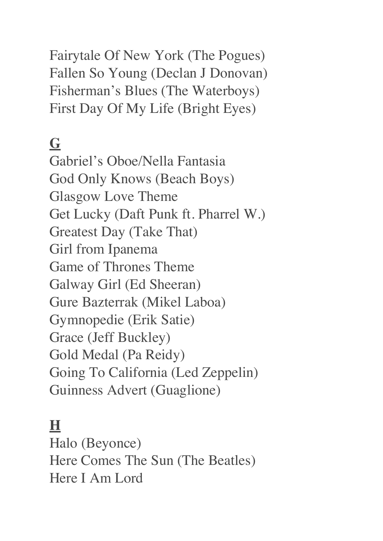Fairytale Of New York (The Pogues) Fallen So Young (Declan J Donovan) Fisherman's Blues (The Waterboys) First Day Of My Life (Bright Eyes)

#### **G**

Gabriel's Oboe/Nella Fantasia God Only Knows (Beach Boys) Glasgow Love Theme Get Lucky (Daft Punk ft. Pharrel W.) Greatest Day (Take That) Girl from Ipanema Game of Thrones Theme Galway Girl (Ed Sheeran) Gure Bazterrak (Mikel Laboa) Gymnopedie (Erik Satie) Grace (Jeff Buckley) Gold Medal (Pa Reidy) Going To California (Led Zeppelin) Guinness Advert (Guaglione)

### **H**

Halo (Beyonce) Here Comes The Sun (The Beatles) Here I Am Lord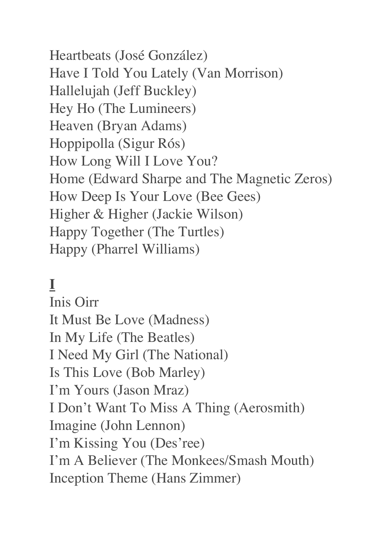Heartbeats (José González) Have I Told You Lately (Van Morrison) Hallelujah (Jeff Buckley) Hey Ho (The Lumineers) Heaven (Bryan Adams) Hoppipolla (Sigur Rós) How Long Will I Love You? Home (Edward Sharpe and The Magnetic Zeros) How Deep Is Your Love (Bee Gees) Higher & Higher (Jackie Wilson) Happy Together (The Turtles) Happy (Pharrel Williams)

### **I**

Inis Oirr It Must Be Love (Madness) In My Life (The Beatles) I Need My Girl (The National) Is This Love (Bob Marley) I'm Yours (Jason Mraz) I Don't Want To Miss A Thing (Aerosmith) Imagine (John Lennon) I'm Kissing You (Des'ree) I'm A Believer (The Monkees/Smash Mouth) Inception Theme (Hans Zimmer)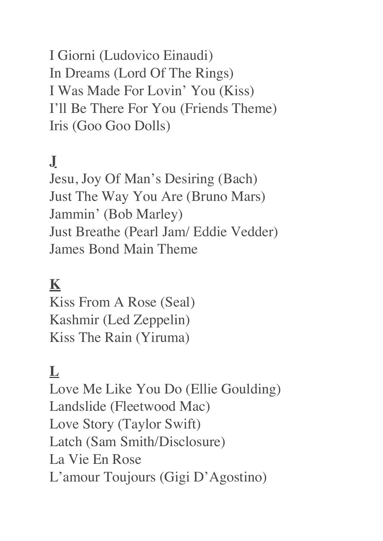I Giorni (Ludovico Einaudi) In Dreams (Lord Of The Rings) I Was Made For Lovin' You (Kiss) I'll Be There For You (Friends Theme) Iris (Goo Goo Dolls)

### **J**

Jesu, Joy Of Man's Desiring (Bach) Just The Way You Are (Bruno Mars) Jammin' (Bob Marley) Just Breathe (Pearl Jam/ Eddie Vedder) James Bond Main Theme

#### **K**

Kiss From A Rose (Seal) Kashmir (Led Zeppelin) Kiss The Rain (Yiruma)

#### **L**

Love Me Like You Do (Ellie Goulding) Landslide (Fleetwood Mac) Love Story (Taylor Swift) Latch (Sam Smith/Disclosure) La Vie En Rose L'amour Toujours (Gigi D'Agostino)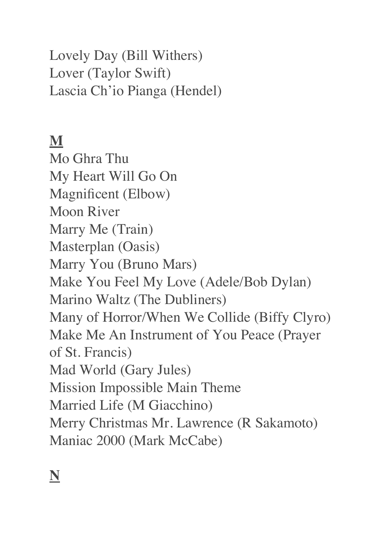Lovely Day (Bill Withers) Lover (Taylor Swift) Lascia Ch'io Pianga (Hendel)

#### **M**

Mo Ghra Thu My Heart Will Go On Magnificent (Elbow) Moon River Marry Me (Train) Masterplan (Oasis) Marry You (Bruno Mars) Make You Feel My Love (Adele/Bob Dylan) Marino Waltz (The Dubliners) Many of Horror/When We Collide (Biffy Clyro) Make Me An Instrument of You Peace (Prayer of St. Francis) Mad World (Gary Jules) Mission Impossible Main Theme Married Life (M Giacchino) Merry Christmas Mr. Lawrence (R Sakamoto) Maniac 2000 (Mark McCabe)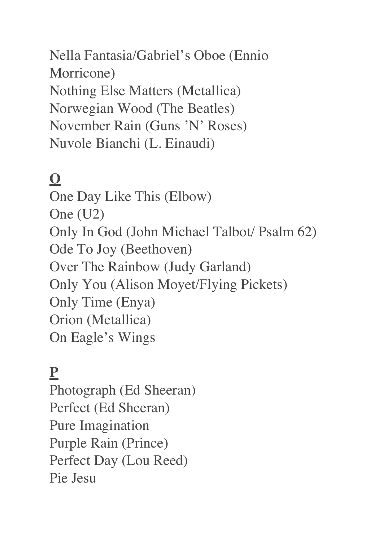Nella Fantasia/Gabriel's Oboe (Ennio Morricone) Nothing Else Matters (Metallica) Norwegian Wood (The Beatles) November Rain (Guns 'N' Roses) Nuvole Bianchi (L. Einaudi)

## **O**

One Day Like This (Elbow) One (U2) Only In God (John Michael Talbot/ Psalm 62) Ode To Joy (Beethoven) Over The Rainbow (Judy Garland) Only You (Alison Moyet/Flying Pickets) Only Time (Enya) Orion (Metallica) On Eagle's Wings

### **P**

Photograph (Ed Sheeran) Perfect (Ed Sheeran) Pure Imagination Purple Rain (Prince) Perfect Day (Lou Reed) Pie Jesu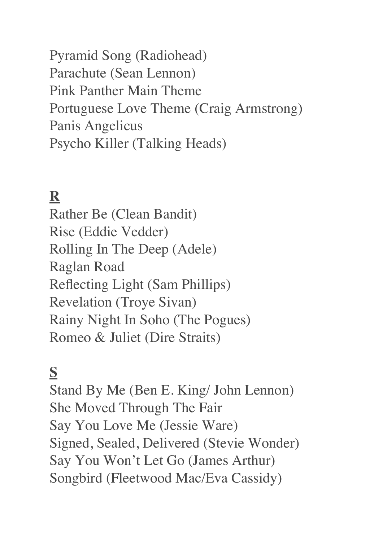Pyramid Song (Radiohead) Parachute (Sean Lennon) Pink Panther Main Theme Portuguese Love Theme (Craig Armstrong) Panis Angelicus Psycho Killer (Talking Heads)

### **R**

Rather Be (Clean Bandit) Rise (Eddie Vedder) Rolling In The Deep (Adele) Raglan Road Reflecting Light (Sam Phillips) Revelation (Troye Sivan) Rainy Night In Soho (The Pogues) Romeo & Juliet (Dire Straits)

### **S**

Stand By Me (Ben E. King/ John Lennon) She Moved Through The Fair Say You Love Me (Jessie Ware) Signed, Sealed, Delivered (Stevie Wonder) Say You Won't Let Go (James Arthur) Songbird (Fleetwood Mac/Eva Cassidy)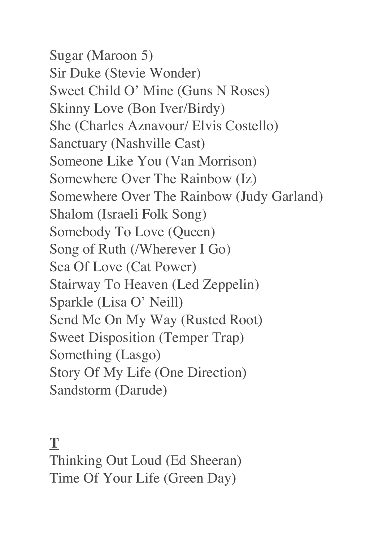Sugar (Maroon 5) Sir Duke (Stevie Wonder) Sweet Child O' Mine (Guns N Roses) Skinny Love (Bon Iver/Birdy) She (Charles Aznavour/ Elvis Costello) Sanctuary (Nashville Cast) Someone Like You (Van Morrison) Somewhere Over The Rainbow (Iz) Somewhere Over The Rainbow (Judy Garland) Shalom (Israeli Folk Song) Somebody To Love (Queen) Song of Ruth (/Wherever I Go) Sea Of Love (Cat Power) Stairway To Heaven (Led Zeppelin) Sparkle (Lisa O' Neill) Send Me On My Way (Rusted Root) Sweet Disposition (Temper Trap) Something (Lasgo) Story Of My Life (One Direction) Sandstorm (Darude)

#### **T**

Thinking Out Loud (Ed Sheeran) Time Of Your Life (Green Day)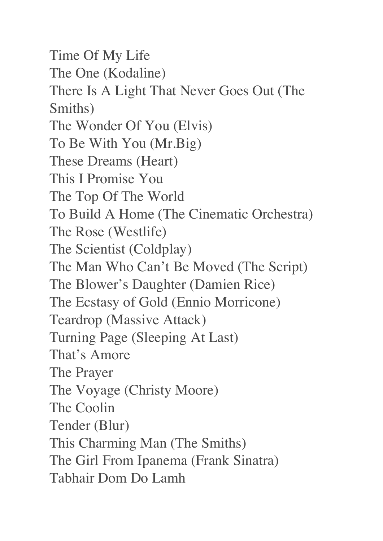Time Of My Life The One (Kodaline) There Is A Light That Never Goes Out (The Smiths) The Wonder Of You (Elvis) To Be With You (Mr.Big) These Dreams (Heart) This I Promise You The Top Of The World To Build A Home (The Cinematic Orchestra) The Rose (Westlife) The Scientist (Coldplay) The Man Who Can't Be Moved (The Script) The Blower's Daughter (Damien Rice) The Ecstasy of Gold (Ennio Morricone) Teardrop (Massive Attack) Turning Page (Sleeping At Last) That's Amore The Prayer The Voyage (Christy Moore) The Coolin Tender (Blur) This Charming Man (The Smiths) The Girl From Ipanema (Frank Sinatra) Tabhair Dom Do Lamh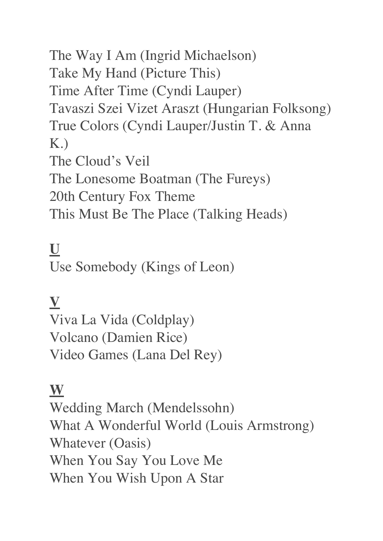The Way I Am (Ingrid Michaelson) Take My Hand (Picture This) Time After Time (Cyndi Lauper) Tavaszi Szei Vizet Araszt (Hungarian Folksong) True Colors (Cyndi Lauper/Justin T. & Anna K.) The Cloud's Veil The Lonesome Boatman (The Fureys) 20th Century Fox Theme This Must Be The Place (Talking Heads)

### **U**

Use Somebody (Kings of Leon)

### **V**

Viva La Vida (Coldplay) Volcano (Damien Rice) Video Games (Lana Del Rey)

#### **W**

Wedding March (Mendelssohn) What A Wonderful World (Louis Armstrong) Whatever (Oasis) When You Say You Love Me When You Wish Upon A Star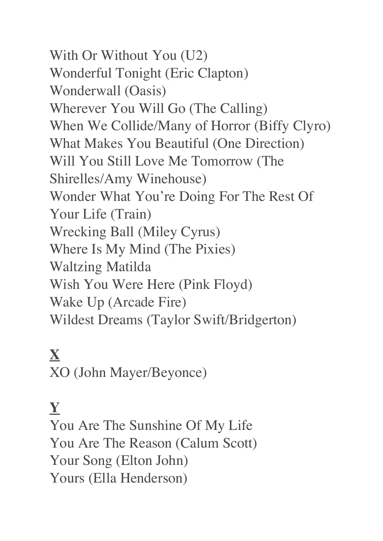With Or Without You (U2) Wonderful Tonight (Eric Clapton) Wonderwall (Oasis) Wherever You Will Go (The Calling) When We Collide/Many of Horror (Biffy Clyro) What Makes You Beautiful (One Direction) Will You Still Love Me Tomorrow (The Shirelles/Amy Winehouse) Wonder What You're Doing For The Rest Of Your Life (Train) Wrecking Ball (Miley Cyrus) Where Is My Mind (The Pixies) Waltzing Matilda Wish You Were Here (Pink Floyd) Wake Up (Arcade Fire) Wildest Dreams (Taylor Swift/Bridgerton)

### **X** XO (John Mayer/Beyonce)

## **Y**

You Are The Sunshine Of My Life You Are The Reason (Calum Scott) Your Song (Elton John) Yours (Ella Henderson)